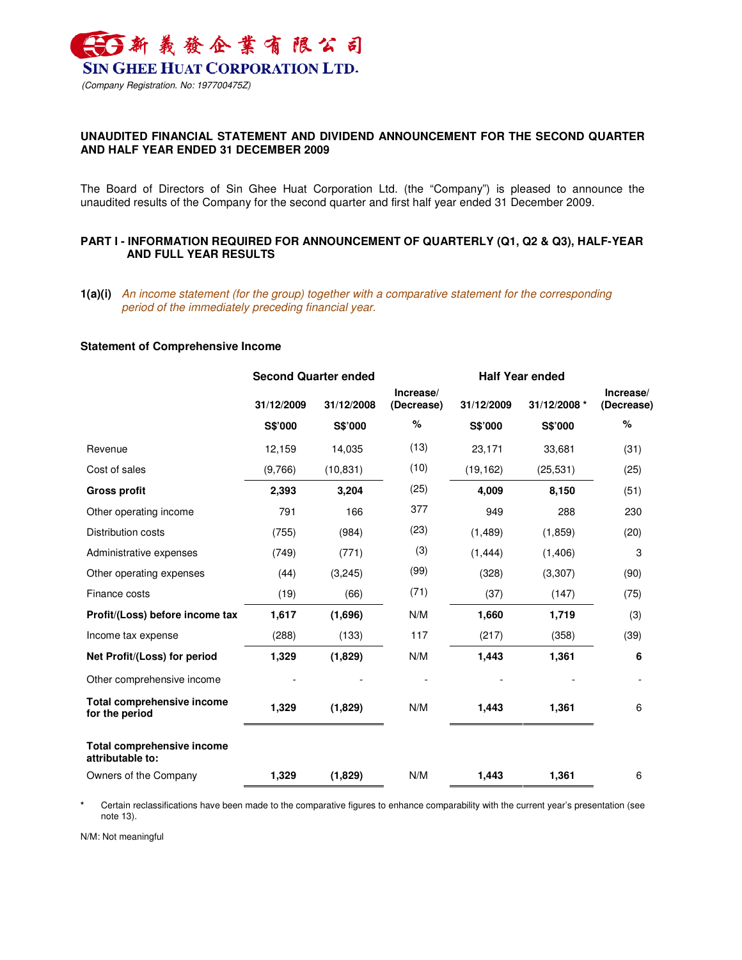

# **UNAUDITED FINANCIAL STATEMENT AND DIVIDEND ANNOUNCEMENT FOR THE SECOND QUARTER AND HALF YEAR ENDED 31 DECEMBER 2009**

The Board of Directors of Sin Ghee Huat Corporation Ltd. (the "Company") is pleased to announce the unaudited results of the Company for the second quarter and first half year ended 31 December 2009.

## **PART I - INFORMATION REQUIRED FOR ANNOUNCEMENT OF QUARTERLY (Q1, Q2 & Q3), HALF-YEAR AND FULL YEAR RESULTS**

**1(a)(i)** An income statement (for the group) together with a comparative statement for the corresponding period of the immediately preceding financial year.

### **Statement of Comprehensive Income**

| <b>Second Quarter ended</b> |            |                         |            |              |                         |
|-----------------------------|------------|-------------------------|------------|--------------|-------------------------|
| 31/12/2009                  | 31/12/2008 | Increase/<br>(Decrease) | 31/12/2009 | 31/12/2008 * | Increase/<br>(Decrease) |
| S\$'000                     | S\$'000    | %                       | S\$'000    | S\$'000      | %                       |
| 12,159                      | 14,035     | (13)                    | 23,171     | 33,681       | (31)                    |
| (9,766)                     | (10, 831)  | (10)                    | (19, 162)  | (25, 531)    | (25)                    |
| 2,393                       | 3,204      | (25)                    | 4,009      | 8,150        | (51)                    |
| 791                         | 166        | 377                     | 949        | 288          | 230                     |
| (755)                       | (984)      | (23)                    | (1, 489)   | (1,859)      | (20)                    |
| (749)                       | (771)      | (3)                     | (1, 444)   | (1, 406)     | 3                       |
| (44)                        | (3,245)    | (99)                    | (328)      | (3,307)      | (90)                    |
| (19)                        | (66)       | (71)                    | (37)       | (147)        | (75)                    |
| 1,617                       | (1,696)    | N/M                     | 1,660      | 1,719        | (3)                     |
| (288)                       | (133)      | 117                     | (217)      | (358)        | (39)                    |
| 1,329                       | (1,829)    | N/M                     | 1,443      | 1,361        | 6                       |
|                             |            |                         |            |              |                         |
| 1,329                       | (1,829)    | N/M                     | 1,443      | 1,361        | 6                       |
|                             |            |                         |            |              |                         |
| 1,329                       | (1,829)    | N/M                     | 1,443      | 1,361        | 6                       |
|                             |            |                         |            |              | <b>Half Year ended</b>  |

Certain reclassifications have been made to the comparative figures to enhance comparability with the current year's presentation (see note 13).

N/M: Not meaningful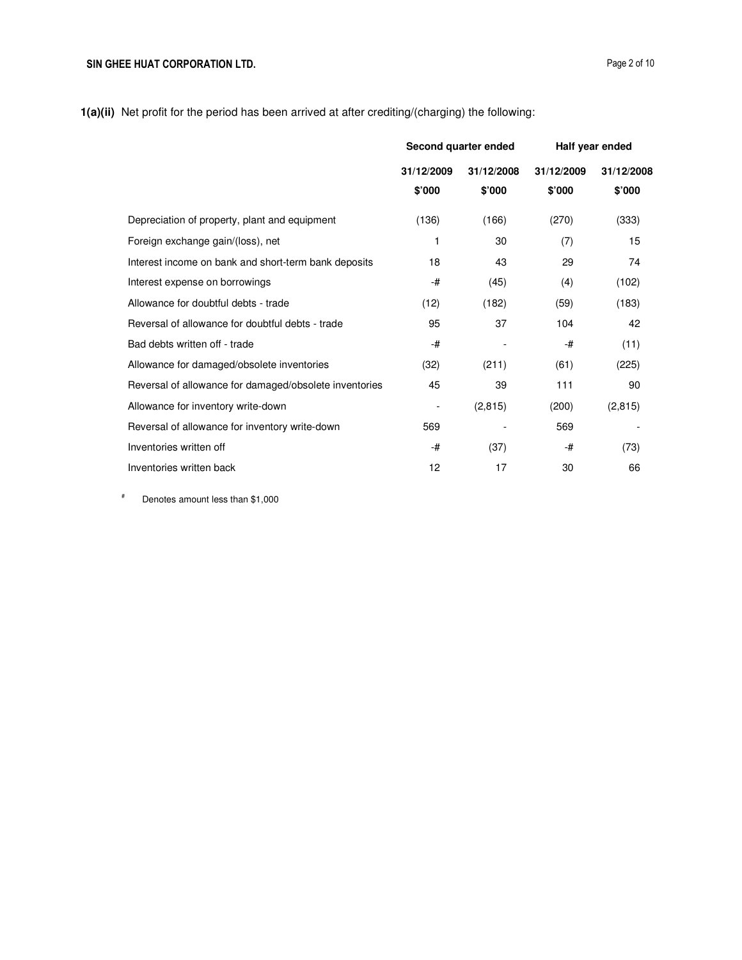**1(a)(ii)** Net profit for the period has been arrived at after crediting/(charging) the following:

|                                                        | Second quarter ended     |          | Half year ended |            |
|--------------------------------------------------------|--------------------------|----------|-----------------|------------|
|                                                        | 31/12/2009<br>31/12/2008 |          | 31/12/2009      | 31/12/2008 |
|                                                        | \$'000                   | \$'000   | \$'000          | \$'000     |
| Depreciation of property, plant and equipment          | (136)                    | (166)    | (270)           | (333)      |
| Foreign exchange gain/(loss), net                      | 1                        | 30       | (7)             | 15         |
| Interest income on bank and short-term bank deposits   | 18                       | 43       | 29              | 74         |
| Interest expense on borrowings                         | -#                       | (45)     | (4)             | (102)      |
| Allowance for doubtful debts - trade                   | (12)                     | (182)    | (59)            | (183)      |
| Reversal of allowance for doubtful debts - trade       | 95                       | 37       | 104             | 42         |
| Bad debts written off - trade                          | -#                       |          | -#              | (11)       |
| Allowance for damaged/obsolete inventories             | (32)                     | (211)    | (61)            | (225)      |
| Reversal of allowance for damaged/obsolete inventories | 45                       | 39       | 111             | 90         |
| Allowance for inventory write-down                     | $\overline{\phantom{a}}$ | (2, 815) | (200)           | (2, 815)   |
| Reversal of allowance for inventory write-down         | 569                      |          | 569             |            |
| Inventories written off                                | -#                       | (37)     | -#              | (73)       |
| Inventories written back                               | 12                       | 17       | 30              | 66         |

# Denotes amount less than \$1,000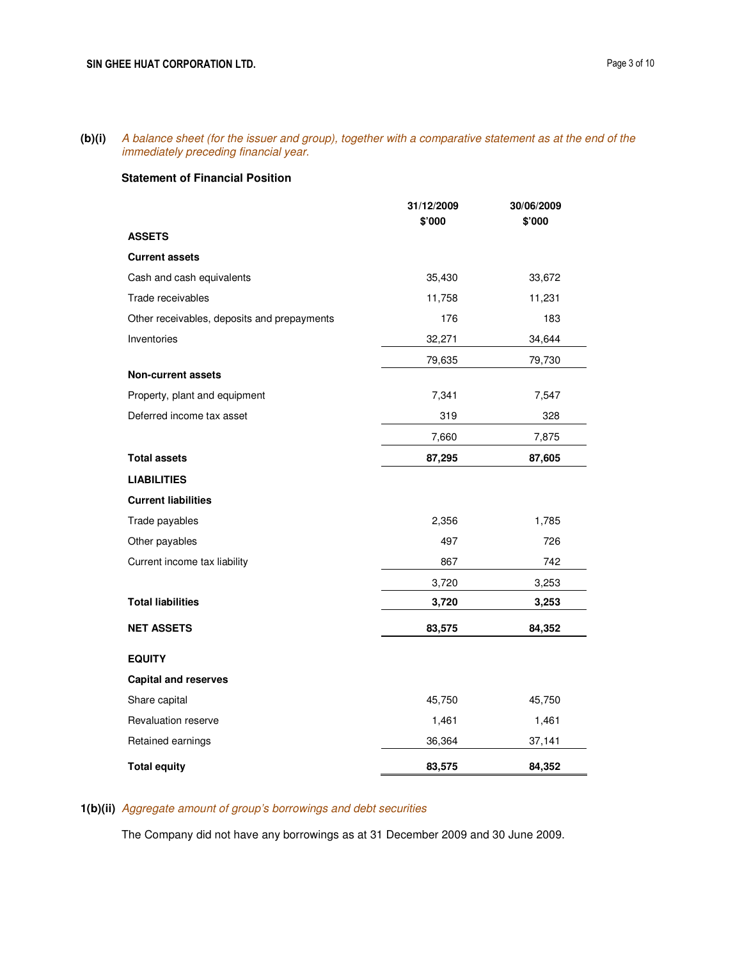**(b)(i)** A balance sheet (for the issuer and group), together with a comparative statement as at the end of the immediately preceding financial year.

## **Statement of Financial Position**

|                                             | 31/12/2009<br>\$'000 | 30/06/2009<br>\$'000 |
|---------------------------------------------|----------------------|----------------------|
| <b>ASSETS</b>                               |                      |                      |
| <b>Current assets</b>                       |                      |                      |
| Cash and cash equivalents                   | 35,430               | 33,672               |
| Trade receivables                           | 11,758               | 11,231               |
| Other receivables, deposits and prepayments | 176                  | 183                  |
| Inventories                                 | 32,271               | 34,644               |
|                                             | 79,635               | 79,730               |
| <b>Non-current assets</b>                   |                      |                      |
| Property, plant and equipment               | 7,341                | 7,547                |
| Deferred income tax asset                   | 319                  | 328                  |
|                                             | 7,660                | 7,875                |
| <b>Total assets</b>                         | 87,295               | 87,605               |
| <b>LIABILITIES</b>                          |                      |                      |
| <b>Current liabilities</b>                  |                      |                      |
| Trade payables                              | 2,356                | 1,785                |
| Other payables                              | 497                  | 726                  |
| Current income tax liability                | 867                  | 742                  |
|                                             | 3,720                | 3,253                |
| <b>Total liabilities</b>                    | 3,720                | 3,253                |
| <b>NET ASSETS</b>                           | 83,575               | 84,352               |
| <b>EQUITY</b>                               |                      |                      |
| <b>Capital and reserves</b>                 |                      |                      |
| Share capital                               | 45,750               | 45,750               |
| Revaluation reserve                         | 1,461                | 1,461                |
| Retained earnings                           | 36,364               | 37,141               |
| <b>Total equity</b>                         | 83,575               | 84,352               |

# **1(b)(ii)** Aggregate amount of group's borrowings and debt securities

The Company did not have any borrowings as at 31 December 2009 and 30 June 2009.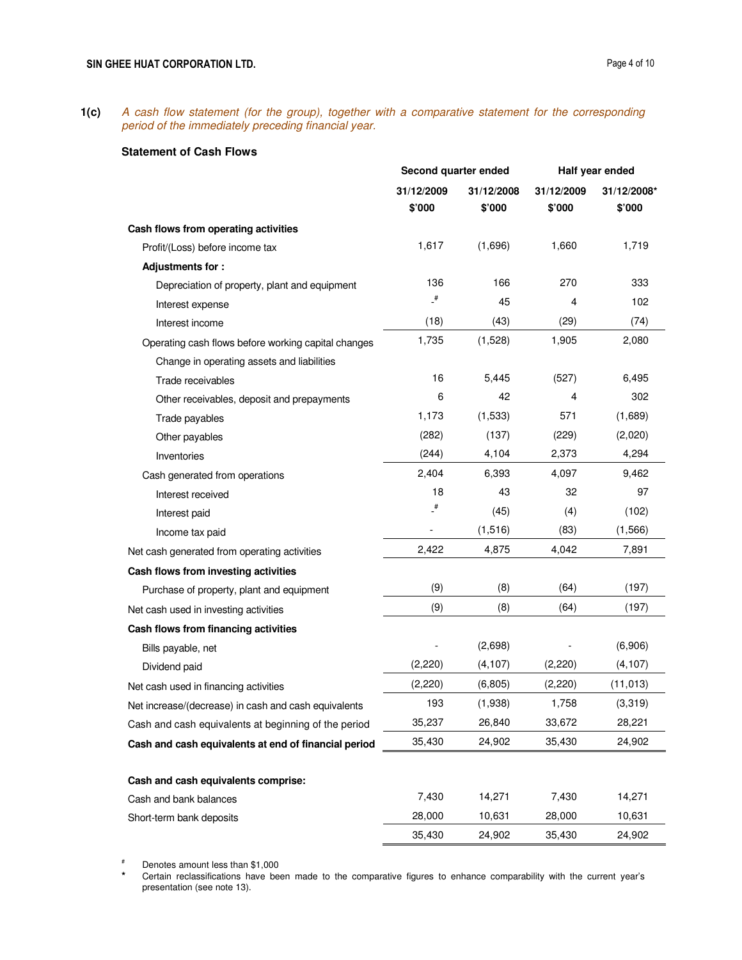**1(c)** A cash flow statement (for the group), together with a comparative statement for the corresponding period of the immediately preceding financial year.

## **Statement of Cash Flows**

|                                                      | Second quarter ended |            |            | Half year ended |
|------------------------------------------------------|----------------------|------------|------------|-----------------|
|                                                      | 31/12/2009           | 31/12/2008 | 31/12/2009 | 31/12/2008*     |
|                                                      | \$'000               | \$'000     | \$'000     | \$'000          |
| Cash flows from operating activities                 |                      |            |            |                 |
| Profit/(Loss) before income tax                      | 1,617                | (1,696)    | 1,660      | 1,719           |
| Adjustments for:                                     |                      |            |            |                 |
| Depreciation of property, plant and equipment        | 136                  | 166        | 270        | 333             |
| Interest expense                                     | $\overline{a}$       | 45         | 4          | 102             |
| Interest income                                      | (18)                 | (43)       | (29)       | (74)            |
| Operating cash flows before working capital changes  | 1,735                | (1,528)    | 1,905      | 2,080           |
| Change in operating assets and liabilities           |                      |            |            |                 |
| Trade receivables                                    | 16                   | 5,445      | (527)      | 6,495           |
| Other receivables, deposit and prepayments           | 6                    | 42         | 4          | 302             |
| Trade payables                                       | 1,173                | (1,533)    | 571        | (1,689)         |
| Other payables                                       | (282)                | (137)      | (229)      | (2,020)         |
| Inventories                                          | (244)                | 4,104      | 2,373      | 4,294           |
| Cash generated from operations                       | 2,404                | 6,393      | 4,097      | 9,462           |
| Interest received                                    | 18                   | 43         | 32         | 97              |
| Interest paid                                        | $\overline{t}$       | (45)       | (4)        | (102)           |
| Income tax paid                                      |                      | (1,516)    | (83)       | (1,566)         |
| Net cash generated from operating activities         | 2,422                | 4,875      | 4,042      | 7,891           |
| Cash flows from investing activities                 |                      |            |            |                 |
| Purchase of property, plant and equipment            | (9)                  | (8)        | (64)       | (197)           |
| Net cash used in investing activities                | (9)                  | (8)        | (64)       | (197)           |
| Cash flows from financing activities                 |                      |            |            |                 |
| Bills payable, net                                   |                      | (2,698)    |            | (6,906)         |
| Dividend paid                                        | (2,220)              | (4, 107)   | (2,220)    | (4, 107)        |
| Net cash used in financing activities                | (2, 220)             | (6,805)    | (2,220)    | (11, 013)       |
| Net increase/(decrease) in cash and cash equivalents | 193                  | (1,938)    | 1,758      | (3,319)         |
| Cash and cash equivalents at beginning of the period | 35,237               | 26,840     | 33,672     | 28,221          |
| Cash and cash equivalents at end of financial period | 35,430               | 24,902     | 35,430     | 24,902          |
|                                                      |                      |            |            |                 |
| Cash and cash equivalents comprise:                  |                      |            |            |                 |
| Cash and bank balances                               | 7,430                | 14,271     | 7,430      | 14,271          |
| Short-term bank deposits                             | 28,000               | 10,631     | 28,000     | 10,631          |
|                                                      | 35,430               | 24,902     | 35,430     | 24,902          |

# Denotes amount less than \$1,000

Certain reclassifications have been made to the comparative figures to enhance comparability with the current year's presentation (see note 13).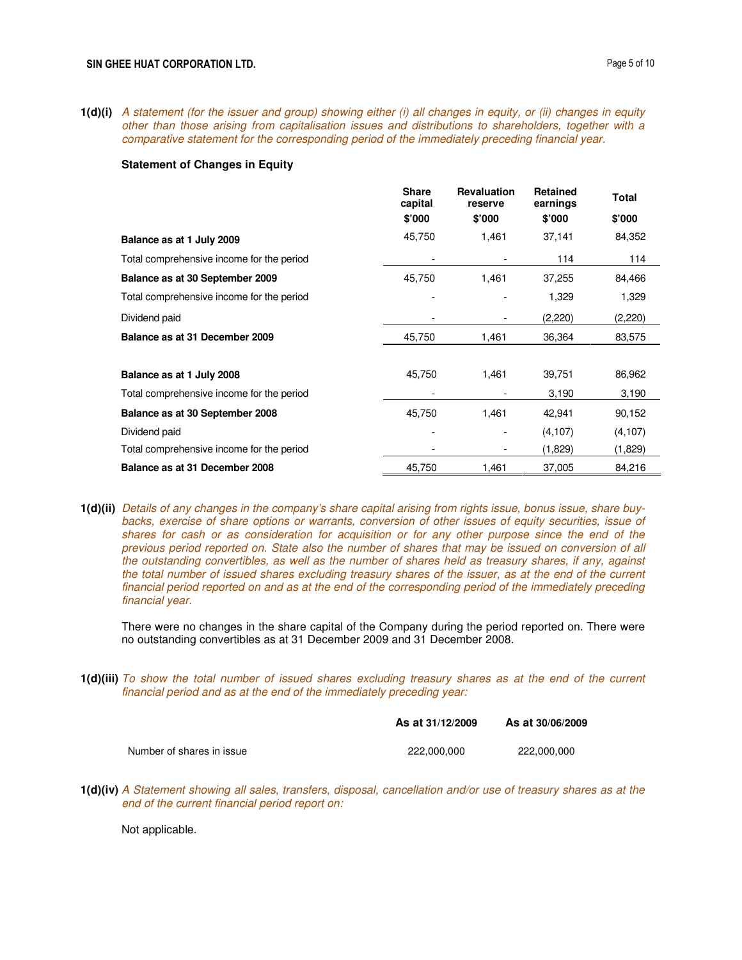**1(d)(i)** A statement (for the issuer and group) showing either (i) all changes in equity, or (ii) changes in equity other than those arising from capitalisation issues and distributions to shareholders, together with a comparative statement for the corresponding period of the immediately preceding financial year.

### **Statement of Changes in Equity**

|                                           | <b>Share</b><br>capital | <b>Revaluation</b><br>reserve | <b>Retained</b><br>earnings | Total    |
|-------------------------------------------|-------------------------|-------------------------------|-----------------------------|----------|
|                                           | \$'000                  | \$'000                        | \$'000                      | \$'000   |
| Balance as at 1 July 2009                 | 45,750                  | 1,461                         | 37,141                      | 84,352   |
| Total comprehensive income for the period |                         |                               | 114                         | 114      |
| Balance as at 30 September 2009           | 45,750                  | 1,461                         | 37,255                      | 84,466   |
| Total comprehensive income for the period |                         |                               | 1,329                       | 1,329    |
| Dividend paid                             |                         |                               | (2,220)                     | (2,220)  |
| Balance as at 31 December 2009            | 45,750                  | 1,461                         | 36,364                      | 83,575   |
|                                           |                         |                               |                             |          |
| Balance as at 1 July 2008                 | 45,750                  | 1,461                         | 39,751                      | 86,962   |
| Total comprehensive income for the period |                         |                               | 3,190                       | 3,190    |
| Balance as at 30 September 2008           | 45,750                  | 1,461                         | 42,941                      | 90,152   |
| Dividend paid                             |                         |                               | (4, 107)                    | (4, 107) |
| Total comprehensive income for the period |                         |                               | (1,829)                     | (1,829)  |
| Balance as at 31 December 2008            | 45,750                  | 1,461                         | 37,005                      | 84,216   |

**1(d)(ii)** Details of any changes in the company's share capital arising from rights issue, bonus issue, share buybacks, exercise of share options or warrants, conversion of other issues of equity securities, issue of shares for cash or as consideration for acquisition or for any other purpose since the end of the previous period reported on. State also the number of shares that may be issued on conversion of all the outstanding convertibles, as well as the number of shares held as treasury shares, if any, against the total number of issued shares excluding treasury shares of the issuer, as at the end of the current financial period reported on and as at the end of the corresponding period of the immediately preceding financial year.

There were no changes in the share capital of the Company during the period reported on. There were no outstanding convertibles as at 31 December 2009 and 31 December 2008.

**1(d)(iii)** To show the total number of issued shares excluding treasury shares as at the end of the current financial period and as at the end of the immediately preceding year:

|                           | As at 31/12/2009 | As at 30/06/2009 |
|---------------------------|------------------|------------------|
| Number of shares in issue | 222.000.000      | 222.000.000      |

**1(d)(iv)** A Statement showing all sales, transfers, disposal, cancellation and/or use of treasury shares as at the end of the current financial period report on:

Not applicable.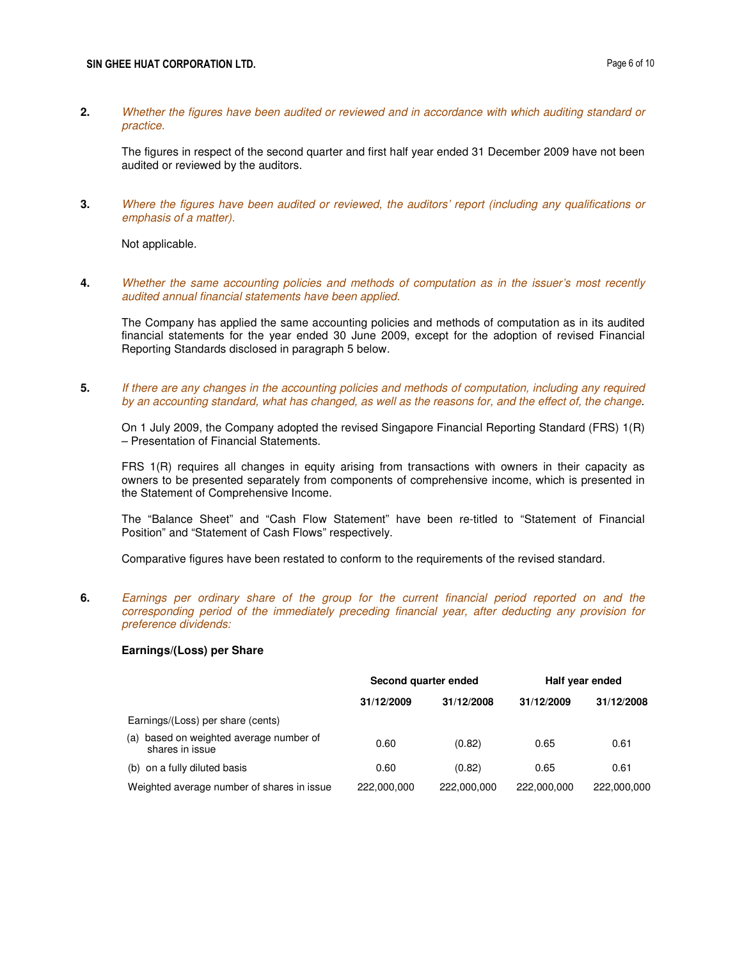### SIN GHEE HUAT CORPORATION LTD. **Page 6 of 10**

**2.** Whether the figures have been audited or reviewed and in accordance with which auditing standard or practice.

The figures in respect of the second quarter and first half year ended 31 December 2009 have not been audited or reviewed by the auditors.

**3.** Where the figures have been audited or reviewed, the auditors' report (including any qualifications or emphasis of a matter).

Not applicable.

**4.** Whether the same accounting policies and methods of computation as in the issuer's most recently audited annual financial statements have been applied.

The Company has applied the same accounting policies and methods of computation as in its audited financial statements for the year ended 30 June 2009, except for the adoption of revised Financial Reporting Standards disclosed in paragraph 5 below.

**5.** If there are any changes in the accounting policies and methods of computation, including any required by an accounting standard, what has changed, as well as the reasons for, and the effect of, the change.

On 1 July 2009, the Company adopted the revised Singapore Financial Reporting Standard (FRS) 1(R) – Presentation of Financial Statements.

 FRS 1(R) requires all changes in equity arising from transactions with owners in their capacity as owners to be presented separately from components of comprehensive income, which is presented in the Statement of Comprehensive Income.

 The "Balance Sheet" and "Cash Flow Statement" have been re-titled to "Statement of Financial Position" and "Statement of Cash Flows" respectively.

Comparative figures have been restated to conform to the requirements of the revised standard.

**6.** Earnings per ordinary share of the group for the current financial period reported on and the corresponding period of the immediately preceding financial year, after deducting any provision for preference dividends:

### **Earnings/(Loss) per Share**

|                                                               | Second quarter ended |             | Half year ended |             |
|---------------------------------------------------------------|----------------------|-------------|-----------------|-------------|
|                                                               | 31/12/2009           | 31/12/2008  | 31/12/2009      | 31/12/2008  |
| Earnings/(Loss) per share (cents)                             |                      |             |                 |             |
| based on weighted average number of<br>(a)<br>shares in issue | 0.60                 | (0.82)      | 0.65            | 0.61        |
| (b) on a fully diluted basis                                  | 0.60                 | (0.82)      | 0.65            | 0.61        |
| Weighted average number of shares in issue                    | 222,000,000          | 222,000,000 | 222,000,000     | 222,000,000 |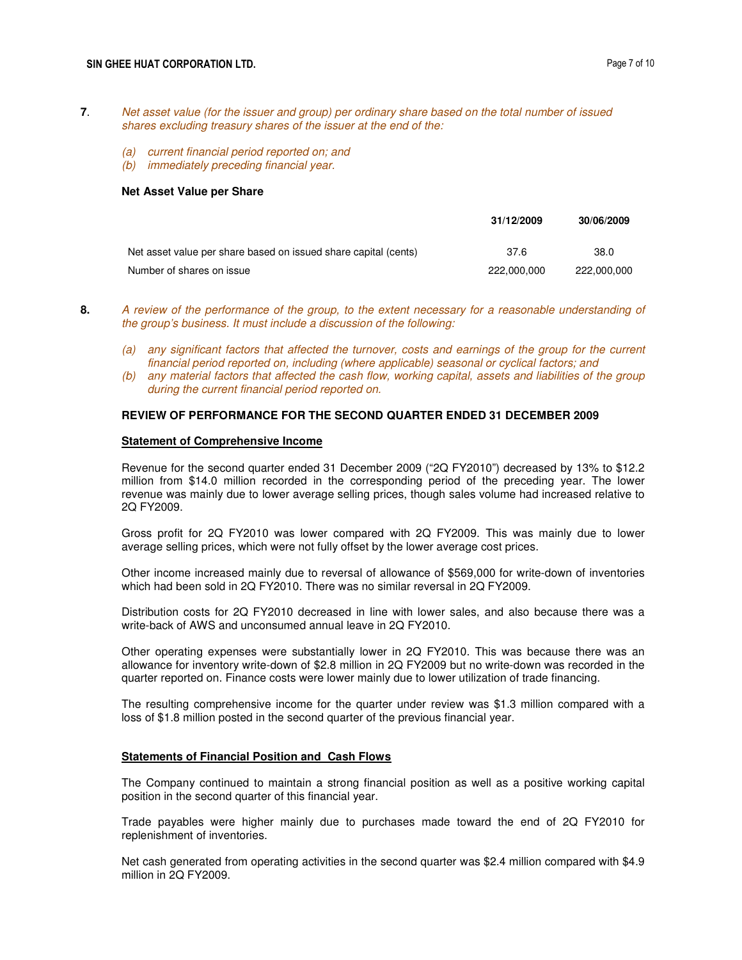### SIN GHEE HUAT CORPORATION LTD. **Page 7 of 10**

- **7**. Net asset value (for the issuer and group) per ordinary share based on the total number of issued shares excluding treasury shares of the issuer at the end of the:
	- (a) current financial period reported on; and
	- (b) immediately preceding financial year.

#### **Net Asset Value per Share**

|                                                                 | 31/12/2009  | 30/06/2009  |
|-----------------------------------------------------------------|-------------|-------------|
| Net asset value per share based on issued share capital (cents) | 37.6        | 38.0        |
| Number of shares on issue                                       | 222,000,000 | 222.000.000 |

- **8.** A review of the performance of the group, to the extent necessary for a reasonable understanding of the group's business. It must include a discussion of the following:
	- (a) any significant factors that affected the turnover, costs and earnings of the group for the current financial period reported on, including (where applicable) seasonal or cyclical factors; and
	- (b) any material factors that affected the cash flow, working capital, assets and liabilities of the group during the current financial period reported on.

### **REVIEW OF PERFORMANCE FOR THE SECOND QUARTER ENDED 31 DECEMBER 2009**

#### **Statement of Comprehensive Income**

Revenue for the second quarter ended 31 December 2009 ("2Q FY2010") decreased by 13% to \$12.2 million from \$14.0 million recorded in the corresponding period of the preceding year. The lower revenue was mainly due to lower average selling prices, though sales volume had increased relative to 2Q FY2009.

Gross profit for 2Q FY2010 was lower compared with 2Q FY2009. This was mainly due to lower average selling prices, which were not fully offset by the lower average cost prices.

Other income increased mainly due to reversal of allowance of \$569,000 for write-down of inventories which had been sold in 2Q FY2010. There was no similar reversal in 2Q FY2009.

Distribution costs for 2Q FY2010 decreased in line with lower sales, and also because there was a write-back of AWS and unconsumed annual leave in 2Q FY2010.

Other operating expenses were substantially lower in 2Q FY2010. This was because there was an allowance for inventory write-down of \$2.8 million in 2Q FY2009 but no write-down was recorded in the quarter reported on. Finance costs were lower mainly due to lower utilization of trade financing.

The resulting comprehensive income for the quarter under review was \$1.3 million compared with a loss of \$1.8 million posted in the second quarter of the previous financial year.

#### **Statements of Financial Position and Cash Flows**

The Company continued to maintain a strong financial position as well as a positive working capital position in the second quarter of this financial year.

Trade payables were higher mainly due to purchases made toward the end of 2Q FY2010 for replenishment of inventories.

Net cash generated from operating activities in the second quarter was \$2.4 million compared with \$4.9 million in 2Q FY2009.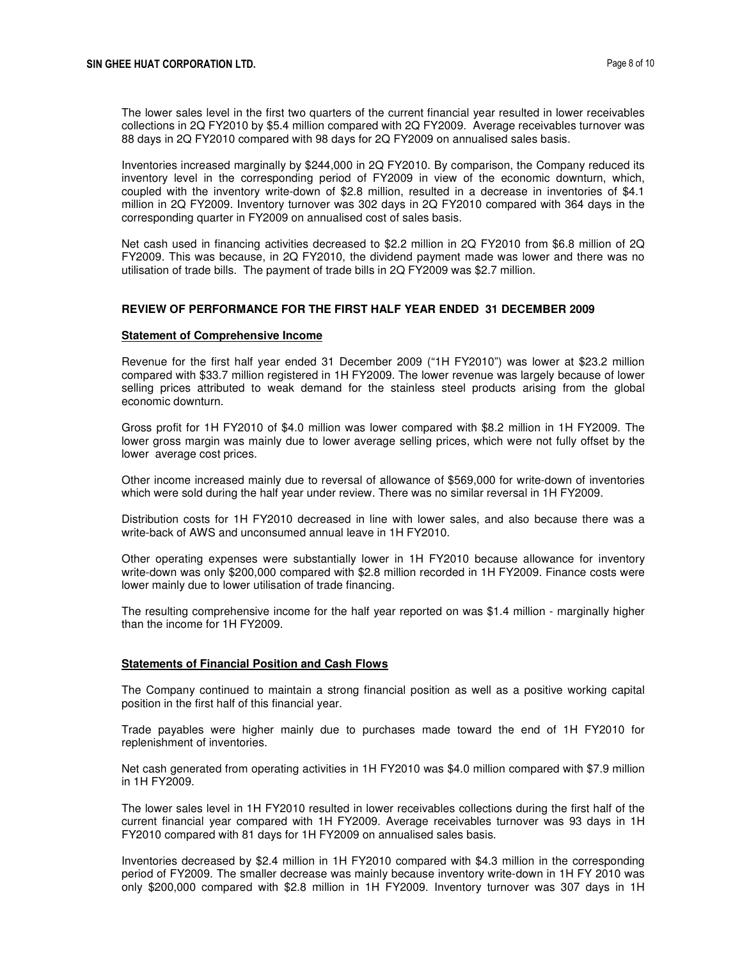The lower sales level in the first two quarters of the current financial year resulted in lower receivables collections in 2Q FY2010 by \$5.4 million compared with 2Q FY2009. Average receivables turnover was 88 days in 2Q FY2010 compared with 98 days for 2Q FY2009 on annualised sales basis.

Inventories increased marginally by \$244,000 in 2Q FY2010. By comparison, the Company reduced its inventory level in the corresponding period of FY2009 in view of the economic downturn, which, coupled with the inventory write-down of \$2.8 million, resulted in a decrease in inventories of \$4.1 million in 2Q FY2009. Inventory turnover was 302 days in 2Q FY2010 compared with 364 days in the corresponding quarter in FY2009 on annualised cost of sales basis.

Net cash used in financing activities decreased to \$2.2 million in 2Q FY2010 from \$6.8 million of 2Q FY2009. This was because, in 2Q FY2010, the dividend payment made was lower and there was no utilisation of trade bills. The payment of trade bills in 2Q FY2009 was \$2.7 million.

### **REVIEW OF PERFORMANCE FOR THE FIRST HALF YEAR ENDED 31 DECEMBER 2009**

#### **Statement of Comprehensive Income**

Revenue for the first half year ended 31 December 2009 ("1H FY2010") was lower at \$23.2 million compared with \$33.7 million registered in 1H FY2009. The lower revenue was largely because of lower selling prices attributed to weak demand for the stainless steel products arising from the global economic downturn.

Gross profit for 1H FY2010 of \$4.0 million was lower compared with \$8.2 million in 1H FY2009. The lower gross margin was mainly due to lower average selling prices, which were not fully offset by the lower average cost prices.

Other income increased mainly due to reversal of allowance of \$569,000 for write-down of inventories which were sold during the half year under review. There was no similar reversal in 1H FY2009.

Distribution costs for 1H FY2010 decreased in line with lower sales, and also because there was a write-back of AWS and unconsumed annual leave in 1H FY2010.

Other operating expenses were substantially lower in 1H FY2010 because allowance for inventory write-down was only \$200,000 compared with \$2.8 million recorded in 1H FY2009. Finance costs were lower mainly due to lower utilisation of trade financing.

 The resulting comprehensive income for the half year reported on was \$1.4 million - marginally higher than the income for 1H FY2009.

### **Statements of Financial Position and Cash Flows**

The Company continued to maintain a strong financial position as well as a positive working capital position in the first half of this financial year.

Trade payables were higher mainly due to purchases made toward the end of 1H FY2010 for replenishment of inventories.

Net cash generated from operating activities in 1H FY2010 was \$4.0 million compared with \$7.9 million in 1H FY2009.

The lower sales level in 1H FY2010 resulted in lower receivables collections during the first half of the current financial year compared with 1H FY2009. Average receivables turnover was 93 days in 1H FY2010 compared with 81 days for 1H FY2009 on annualised sales basis.

Inventories decreased by \$2.4 million in 1H FY2010 compared with \$4.3 million in the corresponding period of FY2009. The smaller decrease was mainly because inventory write-down in 1H FY 2010 was only \$200,000 compared with \$2.8 million in 1H FY2009. Inventory turnover was 307 days in 1H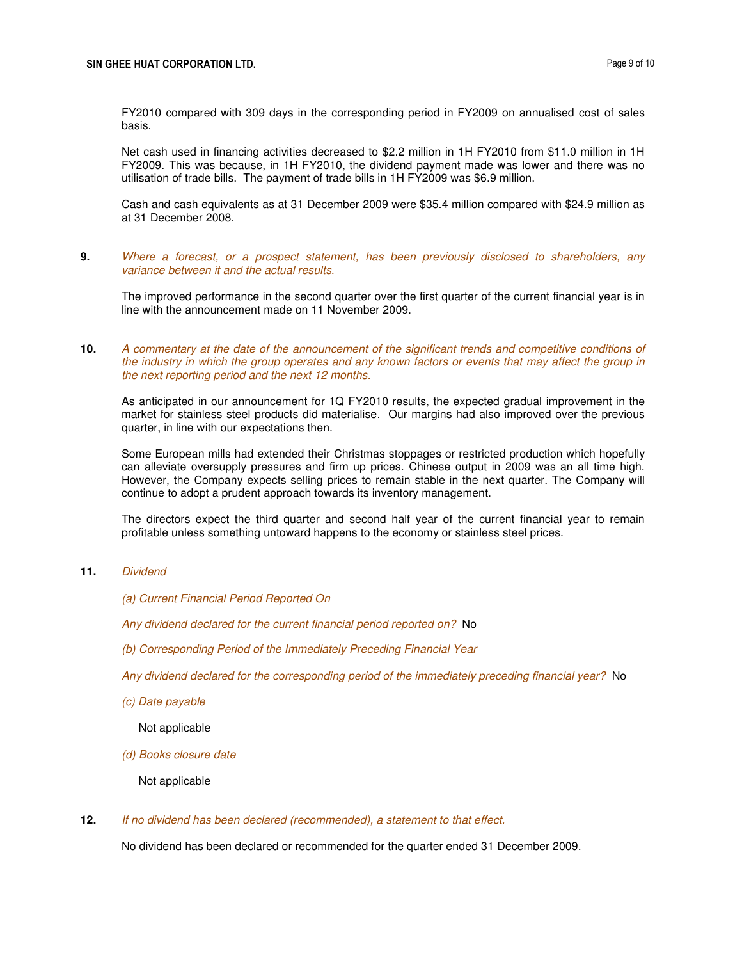FY2010 compared with 309 days in the corresponding period in FY2009 on annualised cost of sales basis.

Net cash used in financing activities decreased to \$2.2 million in 1H FY2010 from \$11.0 million in 1H FY2009. This was because, in 1H FY2010, the dividend payment made was lower and there was no utilisation of trade bills. The payment of trade bills in 1H FY2009 was \$6.9 million.

Cash and cash equivalents as at 31 December 2009 were \$35.4 million compared with \$24.9 million as at 31 December 2008.

**9.** Where a forecast, or a prospect statement, has been previously disclosed to shareholders, any variance between it and the actual results.

The improved performance in the second quarter over the first quarter of the current financial year is in line with the announcement made on 11 November 2009.

**10.** A commentary at the date of the announcement of the significant trends and competitive conditions of the industry in which the group operates and any known factors or events that may affect the group in the next reporting period and the next 12 months.

As anticipated in our announcement for 1Q FY2010 results, the expected gradual improvement in the market for stainless steel products did materialise. Our margins had also improved over the previous quarter, in line with our expectations then.

Some European mills had extended their Christmas stoppages or restricted production which hopefully can alleviate oversupply pressures and firm up prices. Chinese output in 2009 was an all time high. However, the Company expects selling prices to remain stable in the next quarter. The Company will continue to adopt a prudent approach towards its inventory management.

The directors expect the third quarter and second half year of the current financial year to remain profitable unless something untoward happens to the economy or stainless steel prices.

## **11.** Dividend

- (a) Current Financial Period Reported On
- Any dividend declared for the current financial period reported on? No
- (b) Corresponding Period of the Immediately Preceding Financial Year

Any dividend declared for the corresponding period of the immediately preceding financial year? No

(c) Date payable

Not applicable

(d) Books closure date

Not applicable

**12.** If no dividend has been declared (recommended), a statement to that effect.

No dividend has been declared or recommended for the quarter ended 31 December 2009.